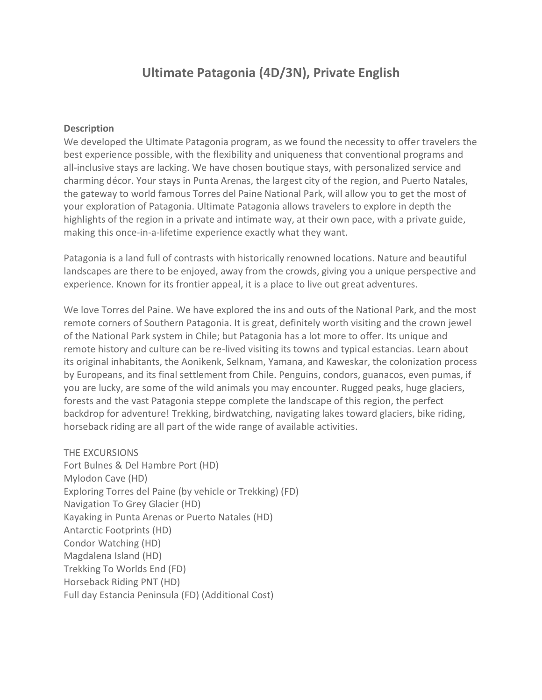# **Ultimate Patagonia (4D/3N), Private English**

#### **Description**

We developed the Ultimate Patagonia program, as we found the necessity to offer travelers the best experience possible, with the flexibility and uniqueness that conventional programs and all-inclusive stays are lacking. We have chosen boutique stays, with personalized service and charming décor. Your stays in Punta Arenas, the largest city of the region, and Puerto Natales, the gateway to world famous Torres del Paine National Park, will allow you to get the most of your exploration of Patagonia. Ultimate Patagonia allows travelers to explore in depth the highlights of the region in a private and intimate way, at their own pace, with a private guide, making this once-in-a-lifetime experience exactly what they want.

Patagonia is a land full of contrasts with historically renowned locations. Nature and beautiful landscapes are there to be enjoyed, away from the crowds, giving you a unique perspective and experience. Known for its frontier appeal, it is a place to live out great adventures.

We love Torres del Paine. We have explored the ins and outs of the National Park, and the most remote corners of Southern Patagonia. It is great, definitely worth visiting and the crown jewel of the National Park system in Chile; but Patagonia has a lot more to offer. Its unique and remote history and culture can be re-lived visiting its towns and typical estancias. Learn about its original inhabitants, the Aonikenk, Selknam, Yamana, and Kaweskar, the colonization process by Europeans, and its final settlement from Chile. Penguins, condors, guanacos, even pumas, if you are lucky, are some of the wild animals you may encounter. Rugged peaks, huge glaciers, forests and the vast Patagonia steppe complete the landscape of this region, the perfect backdrop for adventure! Trekking, birdwatching, navigating lakes toward glaciers, bike riding, horseback riding are all part of the wide range of available activities.

#### THE EXCURSIONS

Fort Bulnes & Del Hambre Port (HD) Mylodon Cave (HD) Exploring Torres del Paine (by vehicle or Trekking) (FD) Navigation To Grey Glacier (HD) Kayaking in Punta Arenas or Puerto Natales (HD) Antarctic Footprints (HD) Condor Watching (HD) Magdalena Island (HD) Trekking To Worlds End (FD) Horseback Riding PNT (HD) Full day Estancia Peninsula (FD) (Additional Cost)